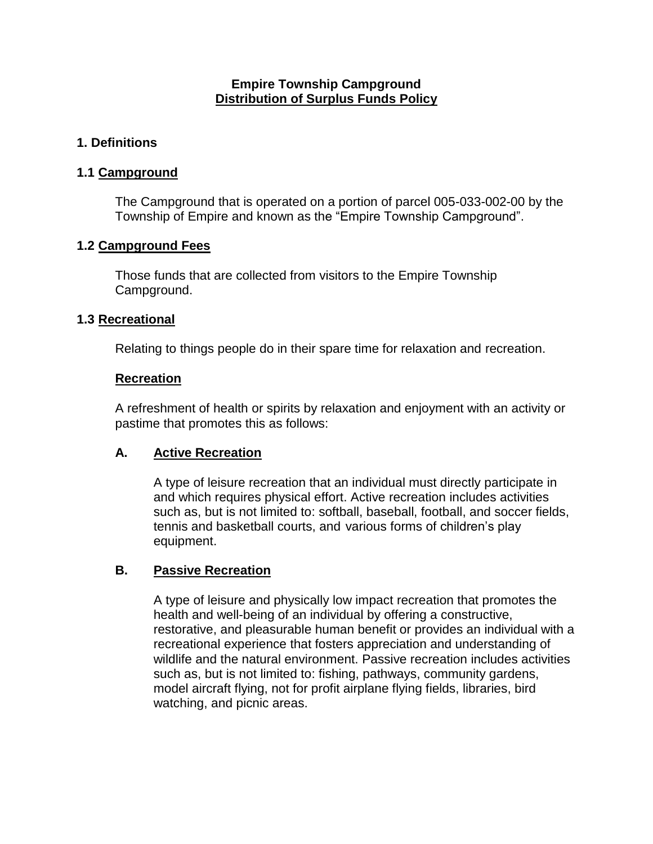#### **Empire Township Campground Distribution of Surplus Funds Policy**

## **1. Definitions**

#### **1.1 Campground**

The Campground that is operated on a portion of parcel 005-033-002-00 by the Township of Empire and known as the "Empire Township Campground".

#### **1.2 Campground Fees**

Those funds that are collected from visitors to the Empire Township Campground.

#### **1.3 Recreational**

Relating to things people do in their spare time for relaxation and recreation.

#### **Recreation**

A refreshment of health or spirits by relaxation and enjoyment with an activity or pastime that promotes this as follows:

## **A. Active Recreation**

A type of leisure recreation that an individual must directly participate in and which requires physical effort. Active recreation includes activities such as, but is not limited to: softball, baseball, football, and soccer fields, tennis and basketball courts, and various forms of children's play equipment.

## **B. Passive Recreation**

A type of leisure and physically low impact recreation that promotes the health and well-being of an individual by offering a constructive, restorative, and pleasurable human benefit or provides an individual with a recreational experience that fosters appreciation and understanding of wildlife and the natural environment. Passive recreation includes activities such as, but is not limited to: fishing, pathways, community gardens, model aircraft flying, not for profit airplane flying fields, libraries, bird watching, and picnic areas.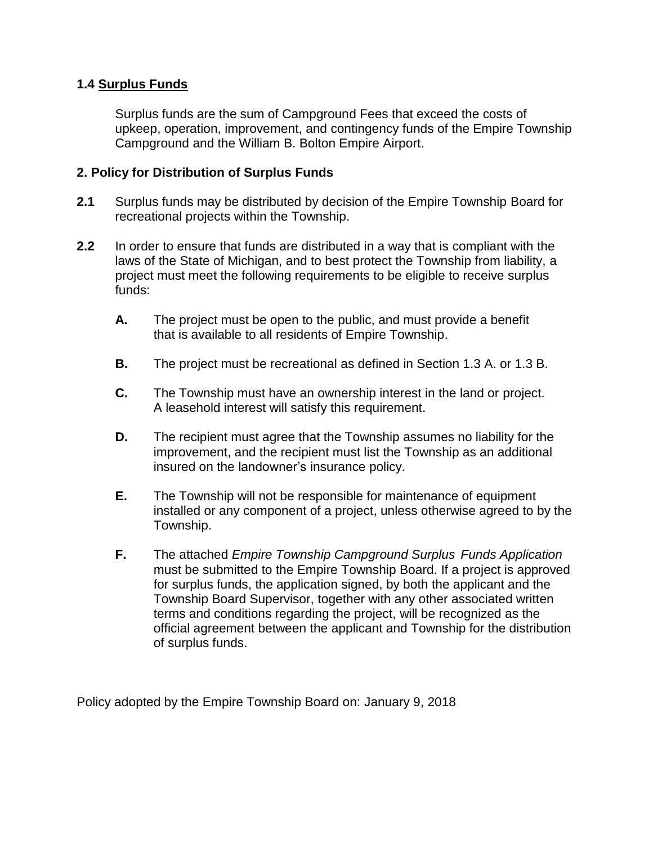#### **1.4 Surplus Funds**

Surplus funds are the sum of Campground Fees that exceed the costs of upkeep, operation, improvement, and contingency funds of the Empire Township Campground and the William B. Bolton Empire Airport.

#### **2. Policy for Distribution of Surplus Funds**

- **2.1** Surplus funds may be distributed by decision of the Empire Township Board for recreational projects within the Township.
- **2.2** In order to ensure that funds are distributed in a way that is compliant with the laws of the State of Michigan, and to best protect the Township from liability, a project must meet the following requirements to be eligible to receive surplus funds:
	- **A.** The project must be open to the public, and must provide a benefit that is available to all residents of Empire Township.
	- **B.** The project must be recreational as defined in Section 1.3 A. or 1.3 B.
	- **C.** The Township must have an ownership interest in the land or project. A leasehold interest will satisfy this requirement.
	- **D.** The recipient must agree that the Township assumes no liability for the improvement, and the recipient must list the Township as an additional insured on the landowner's insurance policy.
	- **E.** The Township will not be responsible for maintenance of equipment installed or any component of a project, unless otherwise agreed to by the Township.
	- **F.** The attached *Empire Township Campground Surplus Funds Application*  must be submitted to the Empire Township Board. If a project is approved for surplus funds, the application signed, by both the applicant and the Township Board Supervisor, together with any other associated written terms and conditions regarding the project, will be recognized as the official agreement between the applicant and Township for the distribution of surplus funds.

Policy adopted by the Empire Township Board on: January 9, 2018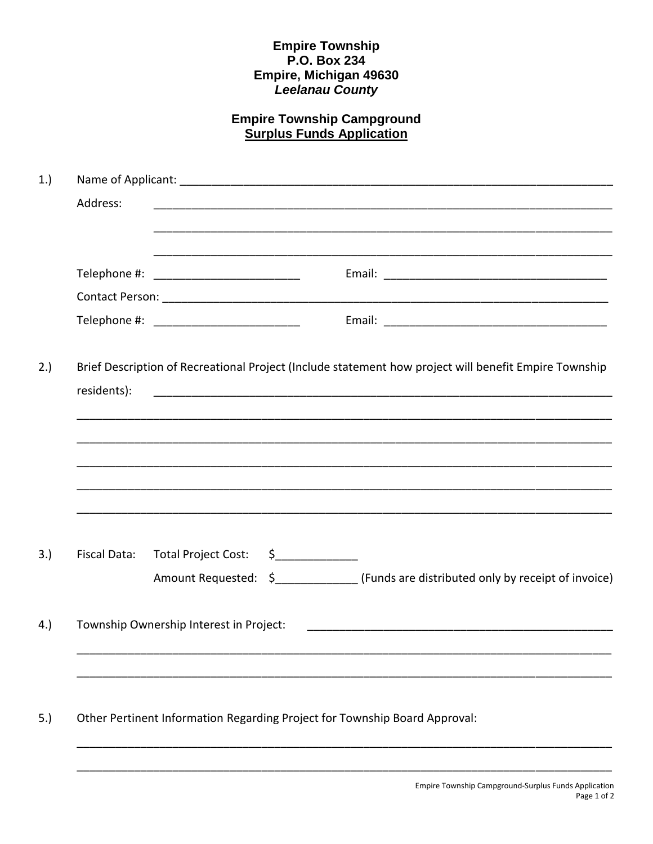## Empire Township<br>P.O. Box 234 Empire, Michigan 49630<br>Leelanau County

# **Empire Township Campground<br>Surplus Funds Application**

| 1.) |              |                                         |  |                                                                                                                                                                                           |  |  |  |  |
|-----|--------------|-----------------------------------------|--|-------------------------------------------------------------------------------------------------------------------------------------------------------------------------------------------|--|--|--|--|
|     | Address:     |                                         |  |                                                                                                                                                                                           |  |  |  |  |
|     |              |                                         |  |                                                                                                                                                                                           |  |  |  |  |
|     |              |                                         |  |                                                                                                                                                                                           |  |  |  |  |
|     |              |                                         |  |                                                                                                                                                                                           |  |  |  |  |
|     |              |                                         |  |                                                                                                                                                                                           |  |  |  |  |
| 2.) | residents):  |                                         |  | Brief Description of Recreational Project (Include statement how project will benefit Empire Township<br>,我们就会在这里的,我们就会在这里的时候,我们就会在这里的时候,我们就会在这里,我们就会在这里的时候,我们就会在这里,我们就会在这里的时候,我们就会在这里,我们 |  |  |  |  |
|     |              |                                         |  |                                                                                                                                                                                           |  |  |  |  |
|     | Fiscal Data: | Total Project Cost:                     |  | Amount Requested: \$_______________ (Funds are distributed only by receipt of invoice)                                                                                                    |  |  |  |  |
|     |              | Township Ownership Interest in Project: |  |                                                                                                                                                                                           |  |  |  |  |
|     |              |                                         |  |                                                                                                                                                                                           |  |  |  |  |
| 5.) |              |                                         |  | Other Pertinent Information Regarding Project for Township Board Approval:                                                                                                                |  |  |  |  |